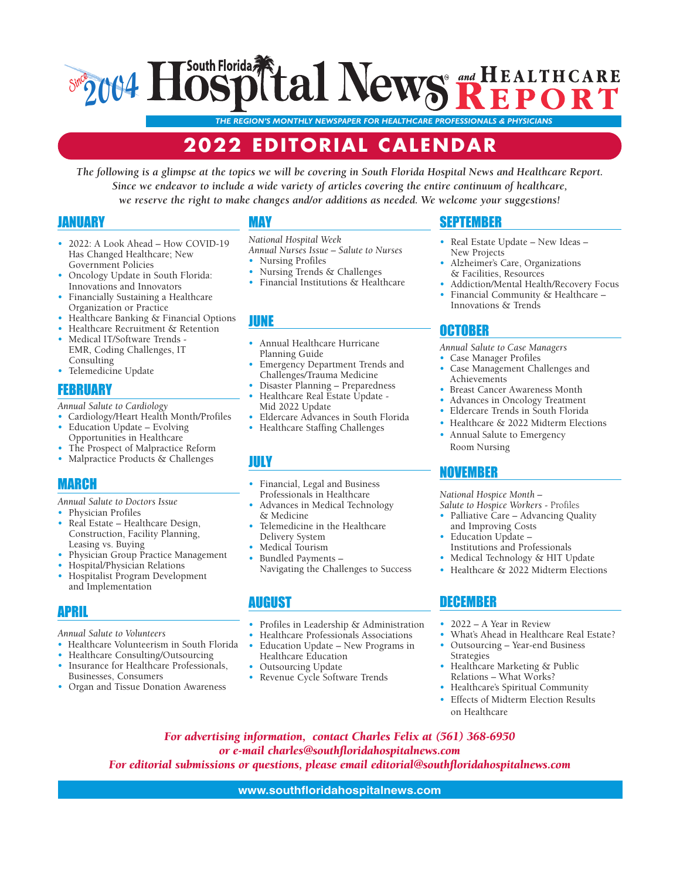## South Florida **tal News REPORT 2004** *Since*

*THE REGION'S MONTHLY NEWSPAPER FOR HEALTHCARE PROFESSIONALS & PHYSICIANS*

## **2022 EDITORIAL CALENDAR**

*The following is a glimpse at the topics we will be covering in South Florida Hospital News and Healthcare Report. Since we endeavor to include a wide variety of articles covering the entire continuum of healthcare, we reserve the right to make changes and/or additions as needed. We welcome your suggestions!*

#### JANUARY

- 2022: A Look Ahead How COVID-19 Has Changed Healthcare; New Government Policies
- Oncology Update in South Florida: Innovations and Innovators
- Financially Sustaining a Healthcare Organization or Practice
- Healthcare Banking & Financial Options
- Healthcare Recruitment & Retention
- Medical IT/Software Trends EMR, Coding Challenges, IT Consulting
- Telemedicine Update

#### **FEBRUARY**

*Annual Salute to Cardiology*

- Cardiology/Heart Health Month/Profiles
- Education Update Evolving
- Opportunities in Healthcare The Prospect of Malpractice Reform
- Malpractice Products & Challenges

#### MARCH

*Annual Salute to Doctors Issue* 

- Physician Profiles
- Real Estate Healthcare Design, Construction, Facility Planning, Leasing vs. Buying
- Physician Group Practice Management
- Hospital/Physician Relations • Hospitalist Program Development and Implementation

## APRIL

*Annual Salute to Volunteers*

- Healthcare Volunteerism in South Florida
- Healthcare Consulting/Outsourcing • Insurance for Healthcare Professionals, Businesses, Consumers
- Organ and Tissue Donation Awareness

#### MAY

- *National Hospital Week Annual Nurses Issue – Salute to Nurses*
- Nursing Profiles
- Nursing Trends & Challenges<br>• Financial Institutions & Healt
- Financial Institutions & Healthcare

#### JUNE

- Annual Healthcare Hurricane Planning Guide
- Challenges/Trauma Medicine
- Healthcare Real Estate Update -
- Mid 2022 Update
- 
- 

#### JULY

- Financial, Legal and Business Professionals in Healthcare
- Advances in Medical Technology & Medicine
- Telemedicine in the Healthcare Delivery System
- Medical Tourism
- Bundled Payments –

#### AUGUST

- Profiles in Leadership & Administration
- Healthcare Professionals Associations<br>• Education Undate New Programs in
- Education Update New Programs in Healthcare Education
- Outsourcing Update
- Revenue Cycle Software Trends

## SEPTEMBER

- Real Estate Update New Ideas New Projects
- Alzheimer's Care, Organizations & Facilities, Resources
- Addiction/Mental Health/Recovery Focus • Financial Community & Healthcare –
- Innovations & Trends

#### OCTOBER

- *Annual Salute to Case Managers*
- Case Manager Profiles • Case Management Challenges and Achievements
- Breast Cancer Awareness Month
- Advances in Oncology Treatment
- Eldercare Trends in South Florida
- Healthcare & 2022 Midterm Elections
- Annual Salute to Emergency Room Nursing

#### NOVEMBER

*National Hospice Month –* 

- *Salute to Hospice Workers* Profiles • Palliative Care – Advancing Quality
- and Improving Costs • Education Update –
- Institutions and Professionals • Medical Technology & HIT Update
- Healthcare & 2022 Midterm Elections

#### DECEMBER

- 2022 A Year in Review
- What's Ahead in Healthcare Real Estate?
- Outsourcing Year-end Business Strategies
- Healthcare Marketing & Public Relations – What Works?
- Healthcare's Spiritual Community
- Effects of Midterm Election Results on Healthcare
- *For advertising information, contact Charles Felix at (561) 368-6950 or e-mail charles@southfloridahospitalnews.com For editorial submissions or questions, please email editorial@southfloridahospitalnews.com*

#### **www.southfloridahospitalnews.com**

- Emergency Department Trends and
- Disaster Planning Preparedness
- 
- Eldercare Advances in South Florida
- Healthcare Staffing Challenges

- 
- 
- Navigating the Challenges to Success